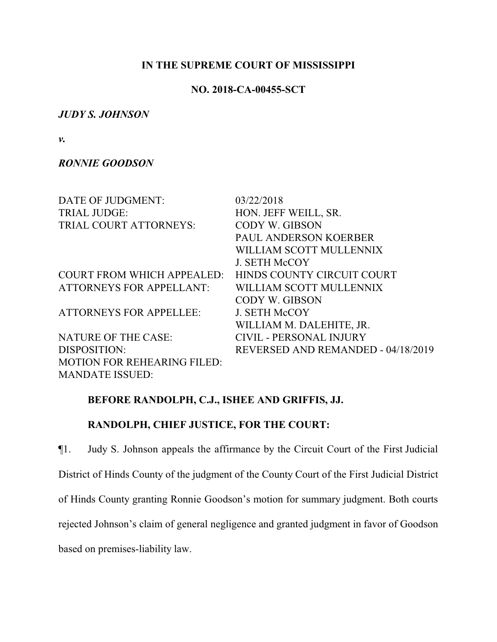### **IN THE SUPREME COURT OF MISSISSIPPI**

# **NO. 2018-CA-00455-SCT**

# *JUDY S. JOHNSON*

*v.*

# *RONNIE GOODSON*

| DATE OF JUDGMENT:                  | 03/22/2018                         |
|------------------------------------|------------------------------------|
| <b>TRIAL JUDGE:</b>                | HON. JEFF WEILL, SR.               |
| TRIAL COURT ATTORNEYS:             | CODY W. GIBSON                     |
|                                    | <b>PAUL ANDERSON KOERBER</b>       |
|                                    | WILLIAM SCOTT MULLENNIX            |
|                                    | <b>J. SETH McCOY</b>               |
| <b>COURT FROM WHICH APPEALED:</b>  | HINDS COUNTY CIRCUIT COURT         |
| <b>ATTORNEYS FOR APPELLANT:</b>    | WILLIAM SCOTT MULLENNIX            |
|                                    | CODY W. GIBSON                     |
| <b>ATTORNEYS FOR APPELLEE:</b>     | <b>J. SETH McCOY</b>               |
|                                    | WILLIAM M. DALEHITE, JR.           |
| <b>NATURE OF THE CASE:</b>         | <b>CIVIL - PERSONAL INJURY</b>     |
| DISPOSITION:                       | REVERSED AND REMANDED - 04/18/2019 |
| <b>MOTION FOR REHEARING FILED:</b> |                                    |
| <b>MANDATE ISSUED:</b>             |                                    |

# **BEFORE RANDOLPH, C.J., ISHEE AND GRIFFIS, JJ.**

# **RANDOLPH, CHIEF JUSTICE, FOR THE COURT:**

¶1. Judy S. Johnson appeals the affirmance by the Circuit Court of the First Judicial District of Hinds County of the judgment of the County Court of the First Judicial District of Hinds County granting Ronnie Goodson's motion for summary judgment. Both courts rejected Johnson's claim of general negligence and granted judgment in favor of Goodson based on premises-liability law.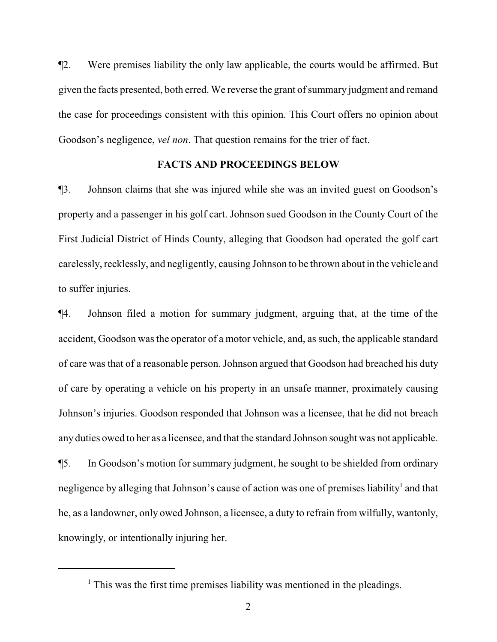¶2. Were premises liability the only law applicable, the courts would be affirmed. But given the facts presented, both erred. We reverse the grant of summary judgment and remand the case for proceedings consistent with this opinion. This Court offers no opinion about Goodson's negligence, *vel non*. That question remains for the trier of fact.

#### **FACTS AND PROCEEDINGS BELOW**

¶3. Johnson claims that she was injured while she was an invited guest on Goodson's property and a passenger in his golf cart. Johnson sued Goodson in the County Court of the First Judicial District of Hinds County, alleging that Goodson had operated the golf cart carelessly, recklessly, and negligently, causing Johnson to be thrown about in the vehicle and to suffer injuries.

¶4. Johnson filed a motion for summary judgment, arguing that, at the time of the accident, Goodson was the operator of a motor vehicle, and, as such, the applicable standard of care was that of a reasonable person. Johnson argued that Goodson had breached his duty of care by operating a vehicle on his property in an unsafe manner, proximately causing Johnson's injuries. Goodson responded that Johnson was a licensee, that he did not breach any duties owed to her as a licensee, and that the standard Johnson sought was not applicable. ¶5. In Goodson's motion for summary judgment, he sought to be shielded from ordinary negligence by alleging that Johnson's cause of action was one of premises liability<sup>1</sup> and that he, as a landowner, only owed Johnson, a licensee, a duty to refrain from wilfully, wantonly, knowingly, or intentionally injuring her.

<sup>&</sup>lt;sup>1</sup> This was the first time premises liability was mentioned in the pleadings.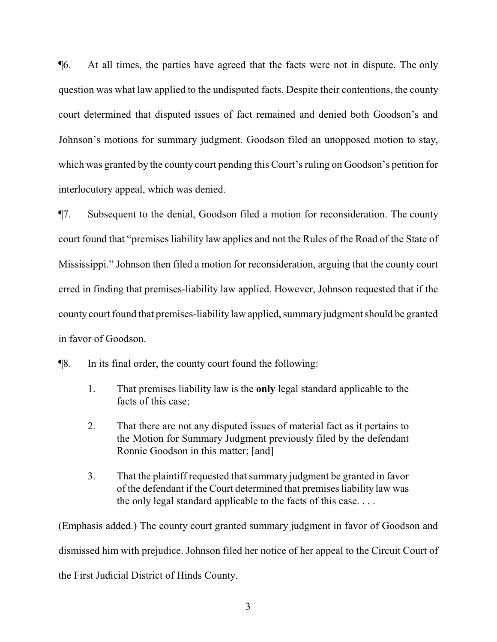¶6. At all times, the parties have agreed that the facts were not in dispute. The only question was what law applied to the undisputed facts. Despite their contentions, the county court determined that disputed issues of fact remained and denied both Goodson's and Johnson's motions for summary judgment. Goodson filed an unopposed motion to stay, which was granted by the county court pending this Court's ruling on Goodson's petition for interlocutory appeal, which was denied.

¶7. Subsequent to the denial, Goodson filed a motion for reconsideration. The county court found that "premises liability law applies and not the Rules of the Road of the State of Mississippi." Johnson then filed a motion for reconsideration, arguing that the county court erred in finding that premises-liability law applied. However, Johnson requested that if the county court found that premises-liability law applied, summary judgment should be granted in favor of Goodson.

¶8. In its final order, the county court found the following:

- 1. That premises liability law is the **only** legal standard applicable to the facts of this case;
- 2. That there are not any disputed issues of material fact as it pertains to the Motion for Summary Judgment previously filed by the defendant Ronnie Goodson in this matter; [and]
- 3. That the plaintiff requested that summary judgment be granted in favor of the defendant if the Court determined that premises liability law was the only legal standard applicable to the facts of this case. . . .

(Emphasis added.) The county court granted summary judgment in favor of Goodson and dismissed him with prejudice. Johnson filed her notice of her appeal to the Circuit Court of the First Judicial District of Hinds County.

3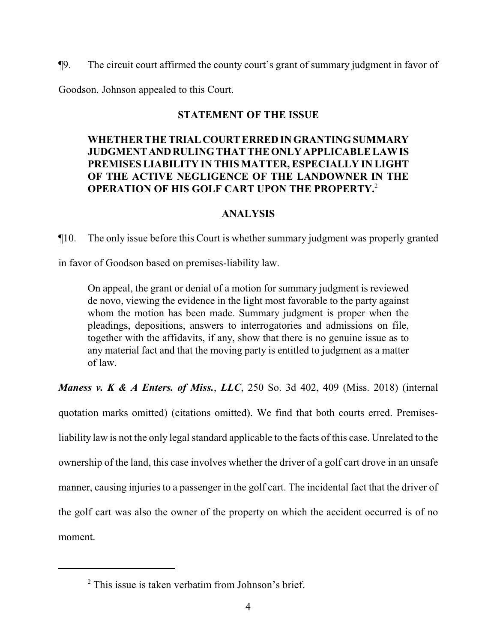¶9. The circuit court affirmed the county court's grant of summary judgment in favor of

Goodson. Johnson appealed to this Court.

# **STATEMENT OF THE ISSUE**

# **WHETHER THE TRIALCOURTERRED IN GRANTING SUMMARY JUDGMENTANDRULING THAT THE ONLY APPLICABLE LAW IS PREMISES LIABILITY IN THIS MATTER, ESPECIALLY IN LIGHT OF THE ACTIVE NEGLIGENCE OF THE LANDOWNER IN THE OPERATION OF HIS GOLF CART UPON THE PROPERTY.**<sup>2</sup>

# **ANALYSIS**

¶10. The only issue before this Court is whether summary judgment was properly granted

in favor of Goodson based on premises-liability law.

On appeal, the grant or denial of a motion for summary judgment is reviewed de novo, viewing the evidence in the light most favorable to the party against whom the motion has been made. Summary judgment is proper when the pleadings, depositions, answers to interrogatories and admissions on file, together with the affidavits, if any, show that there is no genuine issue as to any material fact and that the moving party is entitled to judgment as a matter of law.

*Maness v. K & A Enters. of Miss.*, *LLC*, 250 So. 3d 402, 409 (Miss. 2018) (internal quotation marks omitted) (citations omitted). We find that both courts erred. Premisesliability law is not the only legal standard applicable to the facts of this case. Unrelated to the ownership of the land, this case involves whether the driver of a golf cart drove in an unsafe manner, causing injuries to a passenger in the golf cart. The incidental fact that the driver of the golf cart was also the owner of the property on which the accident occurred is of no moment.

<sup>&</sup>lt;sup>2</sup> This issue is taken verbatim from Johnson's brief.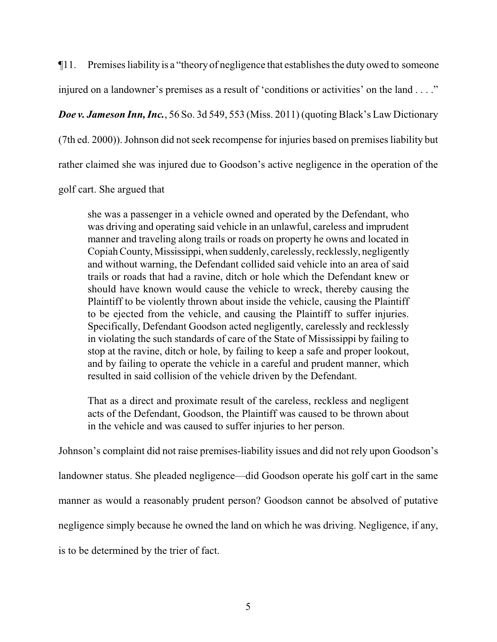¶11. Premises liability is a "theory of negligence that establishes the duty owed to someone

injured on a landowner's premises as a result of 'conditions or activities' on the land . . . ."

*Doe v. Jameson Inn, Inc.*, 56 So. 3d 549, 553 (Miss. 2011) (quoting Black's Law Dictionary

(7th ed. 2000)). Johnson did not seek recompense for injuries based on premises liability but

rather claimed she was injured due to Goodson's active negligence in the operation of the

golf cart. She argued that

she was a passenger in a vehicle owned and operated by the Defendant, who was driving and operating said vehicle in an unlawful, careless and imprudent manner and traveling along trails or roads on property he owns and located in Copiah County, Mississippi, when suddenly, carelessly, recklessly, negligently and without warning, the Defendant collided said vehicle into an area of said trails or roads that had a ravine, ditch or hole which the Defendant knew or should have known would cause the vehicle to wreck, thereby causing the Plaintiff to be violently thrown about inside the vehicle, causing the Plaintiff to be ejected from the vehicle, and causing the Plaintiff to suffer injuries. Specifically, Defendant Goodson acted negligently, carelessly and recklessly in violating the such standards of care of the State of Mississippi by failing to stop at the ravine, ditch or hole, by failing to keep a safe and proper lookout, and by failing to operate the vehicle in a careful and prudent manner, which resulted in said collision of the vehicle driven by the Defendant.

That as a direct and proximate result of the careless, reckless and negligent acts of the Defendant, Goodson, the Plaintiff was caused to be thrown about in the vehicle and was caused to suffer injuries to her person.

Johnson's complaint did not raise premises-liability issues and did not rely upon Goodson's landowner status. She pleaded negligence—did Goodson operate his golf cart in the same manner as would a reasonably prudent person? Goodson cannot be absolved of putative negligence simply because he owned the land on which he was driving. Negligence, if any, is to be determined by the trier of fact.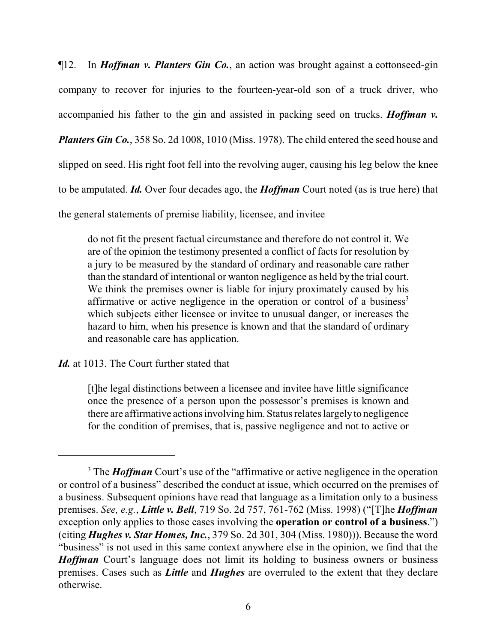¶12. In *Hoffman v. Planters Gin Co.*, an action was brought against a cottonseed-gin company to recover for injuries to the fourteen-year-old son of a truck driver, who accompanied his father to the gin and assisted in packing seed on trucks. *Hoffman v. Planters Gin Co.*, 358 So. 2d 1008, 1010 (Miss. 1978). The child entered the seed house and slipped on seed. His right foot fell into the revolving auger, causing his leg below the knee to be amputated. *Id.* Over four decades ago, the *Hoffman* Court noted (as is true here) that the general statements of premise liability, licensee, and invitee

do not fit the present factual circumstance and therefore do not control it. We are of the opinion the testimony presented a conflict of facts for resolution by a jury to be measured by the standard of ordinary and reasonable care rather than the standard of intentional or wanton negligence as held by the trial court. We think the premises owner is liable for injury proximately caused by his affirmative or active negligence in the operation or control of a business<sup>3</sup> which subjects either licensee or invitee to unusual danger, or increases the hazard to him, when his presence is known and that the standard of ordinary and reasonable care has application.

*Id.* at 1013. The Court further stated that

[t]he legal distinctions between a licensee and invitee have little significance once the presence of a person upon the possessor's premises is known and there are affirmative actions involving him. Status relates largelyto negligence for the condition of premises, that is, passive negligence and not to active or

<sup>&</sup>lt;sup>3</sup> The *Hoffman* Court's use of the "affirmative or active negligence in the operation or control of a business" described the conduct at issue, which occurred on the premises of a business. Subsequent opinions have read that language as a limitation only to a business premises. *See, e.g.*, *Little v. Bell*, 719 So. 2d 757, 761-762 (Miss. 1998) ("[T]he *Hoffman* exception only applies to those cases involving the **operation or control of a business**.") (citing *Hughes v. Star Homes, Inc.*, 379 So. 2d 301, 304 (Miss. 1980))). Because the word "business" is not used in this same context anywhere else in the opinion, we find that the *Hoffman* Court's language does not limit its holding to business owners or business premises. Cases such as *Little* and *Hughes* are overruled to the extent that they declare otherwise.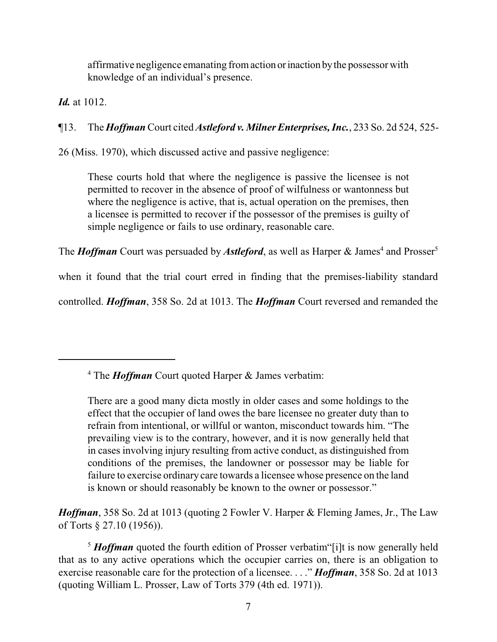affirmative negligence emanating fromaction orinaction bythe possessor with knowledge of an individual's presence.

*Id.* at 1012.

¶13. The *Hoffman* Court cited *Astleford v. Milner Enterprises, Inc.*, 233 So. 2d 524, 525-

26 (Miss. 1970), which discussed active and passive negligence:

These courts hold that where the negligence is passive the licensee is not permitted to recover in the absence of proof of wilfulness or wantonness but where the negligence is active, that is, actual operation on the premises, then a licensee is permitted to recover if the possessor of the premises is guilty of simple negligence or fails to use ordinary, reasonable care.

The *Hoffman* Court was persuaded by Astleford, as well as Harper & James<sup>4</sup> and Prosser<sup>5</sup>

when it found that the trial court erred in finding that the premises-liability standard

controlled. *Hoffman*, 358 So. 2d at 1013. The *Hoffman* Court reversed and remanded the

4 The *Hoffman* Court quoted Harper & James verbatim:

*Hoffman*, 358 So. 2d at 1013 (quoting 2 Fowler V. Harper & Fleming James, Jr., The Law of Torts § 27.10 (1956)).

<sup>5</sup> **Hoffman** quoted the fourth edition of Prosser verbatim [i]t is now generally held that as to any active operations which the occupier carries on, there is an obligation to exercise reasonable care for the protection of a licensee. . . ." *Hoffman*, 358 So. 2d at 1013 (quoting William L. Prosser, Law of Torts 379 (4th ed. 1971)).

There are a good many dicta mostly in older cases and some holdings to the effect that the occupier of land owes the bare licensee no greater duty than to refrain from intentional, or willful or wanton, misconduct towards him. "The prevailing view is to the contrary, however, and it is now generally held that in cases involving injury resulting from active conduct, as distinguished from conditions of the premises, the landowner or possessor may be liable for failure to exercise ordinary care towards a licensee whose presence on the land is known or should reasonably be known to the owner or possessor."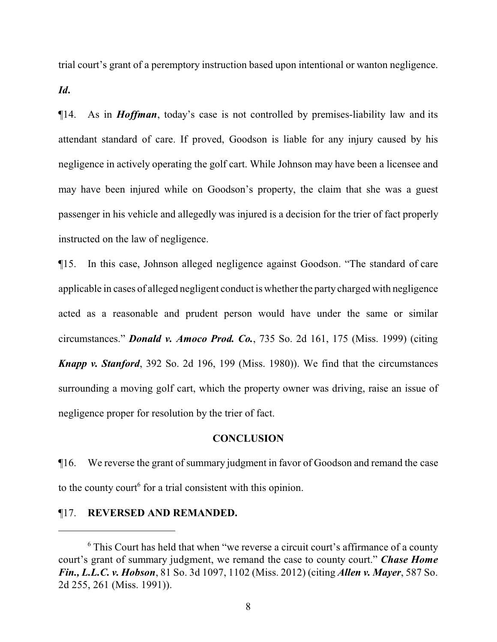trial court's grant of a peremptory instruction based upon intentional or wanton negligence.

*Id***.**

¶14. As in *Hoffman*, today's case is not controlled by premises-liability law and its attendant standard of care. If proved, Goodson is liable for any injury caused by his negligence in actively operating the golf cart. While Johnson may have been a licensee and may have been injured while on Goodson's property, the claim that she was a guest passenger in his vehicle and allegedly was injured is a decision for the trier of fact properly instructed on the law of negligence.

¶15. In this case, Johnson alleged negligence against Goodson. "The standard of care applicable in cases of alleged negligent conduct is whether the party charged with negligence acted as a reasonable and prudent person would have under the same or similar circumstances." *Donald v. Amoco Prod. Co.*, 735 So. 2d 161, 175 (Miss. 1999) (citing *Knapp v. Stanford*, 392 So. 2d 196, 199 (Miss. 1980)). We find that the circumstances surrounding a moving golf cart, which the property owner was driving, raise an issue of negligence proper for resolution by the trier of fact.

# **CONCLUSION**

¶16. We reverse the grant of summary judgment in favor of Goodson and remand the case to the county court<sup> $6$ </sup> for a trial consistent with this opinion.

#### ¶17. **REVERSED AND REMANDED.**

<sup>&</sup>lt;sup>6</sup> This Court has held that when "we reverse a circuit court's affirmance of a county court's grant of summary judgment, we remand the case to county court." *Chase Home Fin., L.L.C. v. Hobson*, 81 So. 3d 1097, 1102 (Miss. 2012) (citing *Allen v. Mayer*, 587 So. 2d 255, 261 (Miss. 1991)).